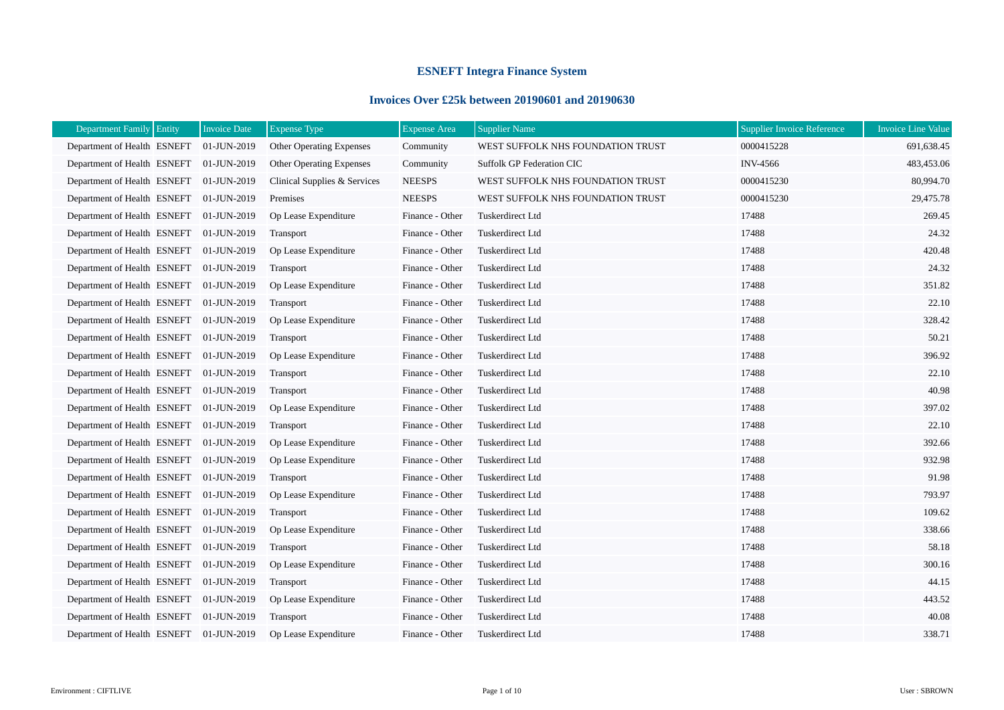## **ESNEFT Integra Finance System**

## **Invoices Over £25k between 20190601 and 20190630**

| Department Family Entity                | <b>Invoice Date</b> | <b>Expense Type</b>             | <b>Expense Area</b> | <b>Supplier Name</b>              | <b>Supplier Invoice Reference</b> | <b>Invoice Line Value</b> |
|-----------------------------------------|---------------------|---------------------------------|---------------------|-----------------------------------|-----------------------------------|---------------------------|
| Department of Health ESNEFT 01-JUN-2019 |                     | <b>Other Operating Expenses</b> | Community           | WEST SUFFOLK NHS FOUNDATION TRUST | 0000415228                        | 691,638.45                |
| Department of Health ESNEFT 01-JUN-2019 |                     | <b>Other Operating Expenses</b> | Community           | <b>Suffolk GP Federation CIC</b>  | <b>INV-4566</b>                   | 483,453.06                |
| Department of Health ESNEFT             | 01-JUN-2019         | Clinical Supplies & Services    | <b>NEESPS</b>       | WEST SUFFOLK NHS FOUNDATION TRUST | 0000415230                        | 80,994.70                 |
| Department of Health ESNEFT             | 01-JUN-2019         | Premises                        | <b>NEESPS</b>       | WEST SUFFOLK NHS FOUNDATION TRUST | 0000415230                        | 29,475.78                 |
| Department of Health ESNEFT             | 01-JUN-2019         | Op Lease Expenditure            | Finance - Other     | Tuskerdirect Ltd                  | 17488                             | 269.45                    |
| Department of Health ESNEFT             | 01-JUN-2019         | Transport                       | Finance - Other     | Tuskerdirect Ltd                  | 17488                             | 24.32                     |
| Department of Health ESNEFT             | 01-JUN-2019         | Op Lease Expenditure            | Finance - Other     | Tuskerdirect Ltd                  | 17488                             | 420.48                    |
| Department of Health ESNEFT             | 01-JUN-2019         | Transport                       | Finance - Other     | Tuskerdirect Ltd                  | 17488                             | 24.32                     |
| Department of Health ESNEFT             | 01-JUN-2019         | Op Lease Expenditure            | Finance - Other     | Tuskerdirect Ltd                  | 17488                             | 351.82                    |
| Department of Health ESNEFT             | 01-JUN-2019         | Transport                       | Finance - Other     | Tuskerdirect Ltd                  | 17488                             | 22.10                     |
| Department of Health ESNEFT             | 01-JUN-2019         | Op Lease Expenditure            | Finance - Other     | Tuskerdirect Ltd                  | 17488                             | 328.42                    |
| Department of Health ESNEFT             | 01-JUN-2019         | Transport                       | Finance - Other     | Tuskerdirect Ltd                  | 17488                             | 50.21                     |
| Department of Health ESNEFT             | 01-JUN-2019         | Op Lease Expenditure            | Finance - Other     | Tuskerdirect Ltd                  | 17488                             | 396.92                    |
| Department of Health ESNEFT             | 01-JUN-2019         | Transport                       | Finance - Other     | Tuskerdirect Ltd                  | 17488                             | 22.10                     |
| Department of Health ESNEFT             | 01-JUN-2019         | <b>Transport</b>                | Finance - Other     | Tuskerdirect Ltd                  | 17488                             | 40.98                     |
| Department of Health ESNEFT             | 01-JUN-2019         | Op Lease Expenditure            | Finance - Other     | Tuskerdirect Ltd                  | 17488                             | 397.02                    |
| Department of Health ESNEFT             | 01-JUN-2019         | Transport                       | Finance - Other     | Tuskerdirect Ltd                  | 17488                             | 22.10                     |
| Department of Health ESNEFT             | 01-JUN-2019         | Op Lease Expenditure            | Finance - Other     | Tuskerdirect Ltd                  | 17488                             | 392.66                    |
| Department of Health ESNEFT             | 01-JUN-2019         | Op Lease Expenditure            | Finance - Other     | Tuskerdirect Ltd                  | 17488                             | 932.98                    |
| Department of Health ESNEFT             | 01-JUN-2019         | Transport                       | Finance - Other     | Tuskerdirect Ltd                  | 17488                             | 91.98                     |
| Department of Health ESNEFT             | 01-JUN-2019         | Op Lease Expenditure            | Finance - Other     | Tuskerdirect Ltd                  | 17488                             | 793.97                    |
| Department of Health ESNEFT             | 01-JUN-2019         | Transport                       | Finance - Other     | Tuskerdirect Ltd                  | 17488                             | 109.62                    |
| Department of Health ESNEFT             | 01-JUN-2019         | Op Lease Expenditure            | Finance - Other     | Tuskerdirect Ltd                  | 17488                             | 338.66                    |
| Department of Health ESNEFT             | 01-JUN-2019         | Transport                       | Finance - Other     | Tuskerdirect Ltd                  | 17488                             | 58.18                     |
| Department of Health ESNEFT             | 01-JUN-2019         | Op Lease Expenditure            | Finance - Other     | Tuskerdirect Ltd                  | 17488                             | 300.16                    |
| Department of Health ESNEFT             | 01-JUN-2019         | Transport                       | Finance - Other     | Tuskerdirect Ltd                  | 17488                             | 44.15                     |
| Department of Health ESNEFT             | 01-JUN-2019         | Op Lease Expenditure            | Finance - Other     | Tuskerdirect Ltd                  | 17488                             | 443.52                    |
| Department of Health ESNEFT             | 01-JUN-2019         | Transport                       | Finance - Other     | Tuskerdirect Ltd                  | 17488                             | 40.08                     |
| Department of Health ESNEFT 01-JUN-2019 |                     | Op Lease Expenditure            | Finance - Other     | Tuskerdirect Ltd                  | 17488                             | 338.71                    |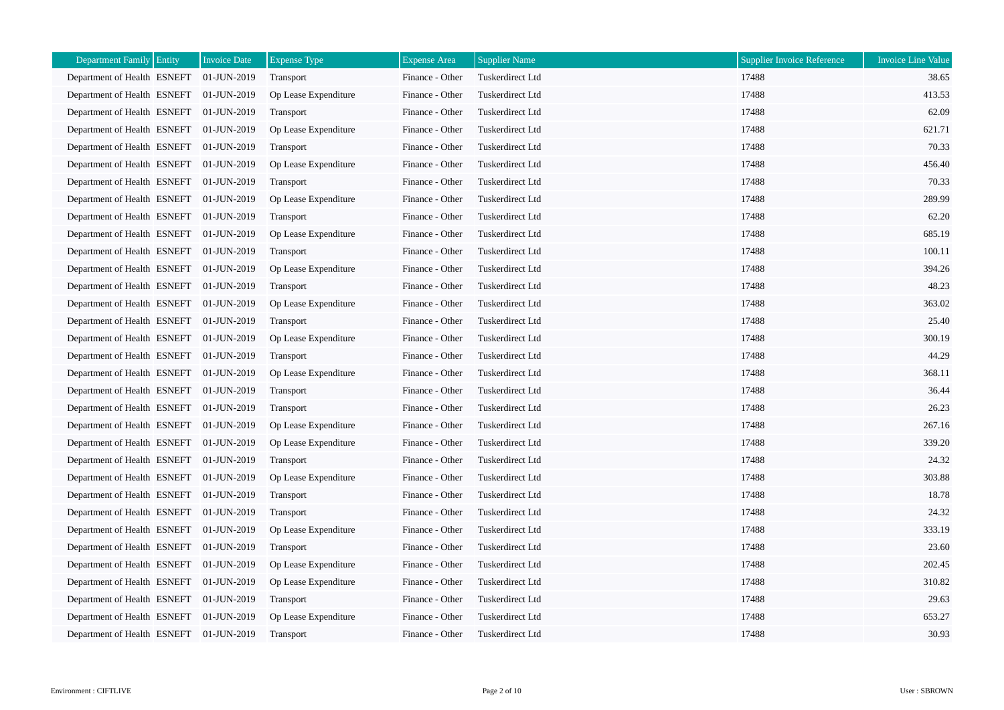| <b>Department Family</b><br>Entity      | <b>Invoice Date</b> | <b>Expense Type</b>  | <b>Expense Area</b> | <b>Supplier Name</b> | <b>Supplier Invoice Reference</b> | <b>Invoice Line Value</b> |
|-----------------------------------------|---------------------|----------------------|---------------------|----------------------|-----------------------------------|---------------------------|
| Department of Health ESNEFT             | 01-JUN-2019         | Transport            | Finance - Other     | Tuskerdirect Ltd     | 17488                             | 38.65                     |
| Department of Health ESNEFT             | 01-JUN-2019         | Op Lease Expenditure | Finance - Other     | Tuskerdirect Ltd     | 17488                             | 413.53                    |
| Department of Health ESNEFT             | 01-JUN-2019         | Transport            | Finance - Other     | Tuskerdirect Ltd     | 17488                             | 62.09                     |
| Department of Health ESNEFT             | 01-JUN-2019         | Op Lease Expenditure | Finance - Other     | Tuskerdirect Ltd     | 17488                             | 621.71                    |
| Department of Health ESNEFT             | 01-JUN-2019         | Transport            | Finance - Other     | Tuskerdirect Ltd     | 17488                             | 70.33                     |
| Department of Health ESNEFT 01-JUN-2019 |                     | Op Lease Expenditure | Finance - Other     | Tuskerdirect Ltd     | 17488                             | 456.40                    |
| Department of Health ESNEFT             | 01-JUN-2019         | Transport            | Finance - Other     | Tuskerdirect Ltd     | 17488                             | 70.33                     |
| Department of Health ESNEFT             | 01-JUN-2019         | Op Lease Expenditure | Finance - Other     | Tuskerdirect Ltd     | 17488                             | 289.99                    |
| Department of Health ESNEFT 01-JUN-2019 |                     | Transport            | Finance - Other     | Tuskerdirect Ltd     | 17488                             | 62.20                     |
| Department of Health ESNEFT 01-JUN-2019 |                     | Op Lease Expenditure | Finance - Other     | Tuskerdirect Ltd     | 17488                             | 685.19                    |
| Department of Health ESNEFT 01-JUN-2019 |                     | Transport            | Finance - Other     | Tuskerdirect Ltd     | 17488                             | 100.11                    |
| Department of Health ESNEFT             | 01-JUN-2019         | Op Lease Expenditure | Finance - Other     | Tuskerdirect Ltd     | 17488                             | 394.26                    |
| Department of Health ESNEFT             | 01-JUN-2019         | Transport            | Finance - Other     | Tuskerdirect Ltd     | 17488                             | 48.23                     |
| Department of Health ESNEFT             | 01-JUN-2019         | Op Lease Expenditure | Finance - Other     | Tuskerdirect Ltd     | 17488                             | 363.02                    |
| Department of Health ESNEFT             | 01-JUN-2019         | Transport            | Finance - Other     | Tuskerdirect Ltd     | 17488                             | 25.40                     |
| Department of Health ESNEFT 01-JUN-2019 |                     | Op Lease Expenditure | Finance - Other     | Tuskerdirect Ltd     | 17488                             | 300.19                    |
| Department of Health ESNEFT             | 01-JUN-2019         | Transport            | Finance - Other     | Tuskerdirect Ltd     | 17488                             | 44.29                     |
| Department of Health ESNEFT             | 01-JUN-2019         | Op Lease Expenditure | Finance - Other     | Tuskerdirect Ltd     | 17488                             | 368.11                    |
| Department of Health ESNEFT             | 01-JUN-2019         | Transport            | Finance - Other     | Tuskerdirect Ltd     | 17488                             | 36.44                     |
| Department of Health ESNEFT             | 01-JUN-2019         | Transport            | Finance - Other     | Tuskerdirect Ltd     | 17488                             | 26.23                     |
| Department of Health ESNEFT             | 01-JUN-2019         | Op Lease Expenditure | Finance - Other     | Tuskerdirect Ltd     | 17488                             | 267.16                    |
| Department of Health ESNEFT             | 01-JUN-2019         | Op Lease Expenditure | Finance - Other     | Tuskerdirect Ltd     | 17488                             | 339.20                    |
| Department of Health ESNEFT             | 01-JUN-2019         | Transport            | Finance - Other     | Tuskerdirect Ltd     | 17488                             | 24.32                     |
| Department of Health ESNEFT 01-JUN-2019 |                     | Op Lease Expenditure | Finance - Other     | Tuskerdirect Ltd     | 17488                             | 303.88                    |
| Department of Health ESNEFT             | 01-JUN-2019         | Transport            | Finance - Other     | Tuskerdirect Ltd     | 17488                             | 18.78                     |
| Department of Health ESNEFT             | 01-JUN-2019         | Transport            | Finance - Other     | Tuskerdirect Ltd     | 17488                             | 24.32                     |
| Department of Health ESNEFT             | 01-JUN-2019         | Op Lease Expenditure | Finance - Other     | Tuskerdirect Ltd     | 17488                             | 333.19                    |
| Department of Health ESNEFT             | 01-JUN-2019         | Transport            | Finance - Other     | Tuskerdirect Ltd     | 17488                             | 23.60                     |
| Department of Health ESNEFT 01-JUN-2019 |                     | Op Lease Expenditure | Finance - Other     | Tuskerdirect Ltd     | 17488                             | 202.45                    |
| Department of Health ESNEFT             | 01-JUN-2019         | Op Lease Expenditure | Finance - Other     | Tuskerdirect Ltd     | 17488                             | 310.82                    |
| Department of Health ESNEFT             | 01-JUN-2019         | Transport            | Finance - Other     | Tuskerdirect Ltd     | 17488                             | 29.63                     |
| Department of Health ESNEFT             | 01-JUN-2019         | Op Lease Expenditure | Finance - Other     | Tuskerdirect Ltd     | 17488                             | 653.27                    |
| Department of Health ESNEFT 01-JUN-2019 |                     | Transport            | Finance - Other     | Tuskerdirect Ltd     | 17488                             | 30.93                     |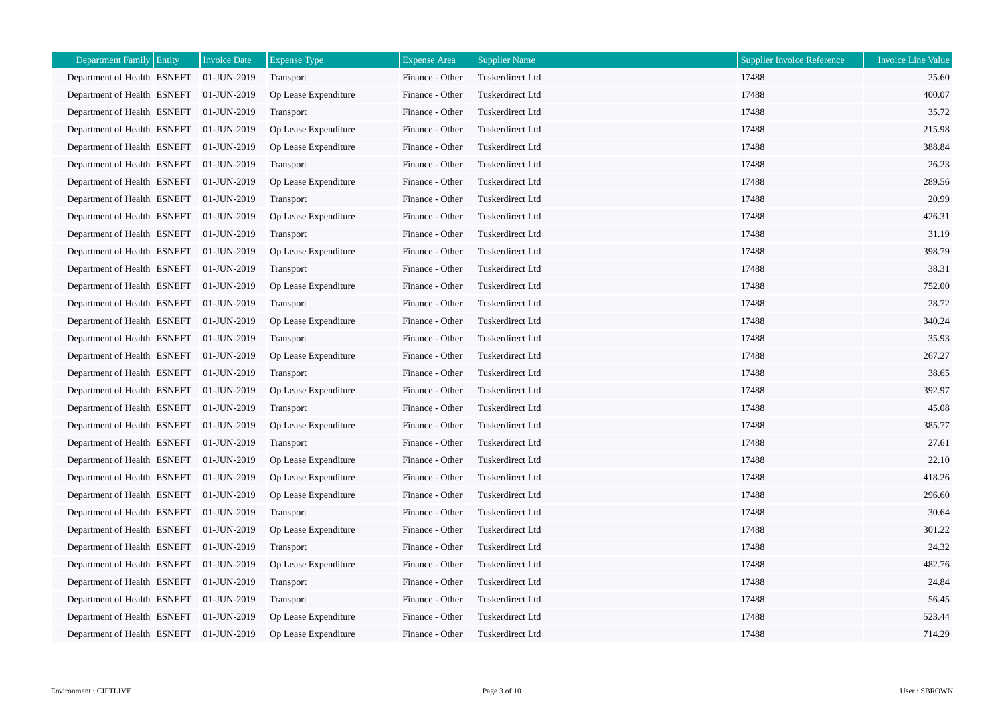| Entity<br><b>Department Family</b>      | <b>Invoice Date</b> | <b>Expense Type</b>  | <b>Expense Area</b> | <b>Supplier Name</b> | <b>Supplier Invoice Reference</b> | <b>Invoice Line Value</b> |
|-----------------------------------------|---------------------|----------------------|---------------------|----------------------|-----------------------------------|---------------------------|
| Department of Health ESNEFT             | 01-JUN-2019         | Transport            | Finance - Other     | Tuskerdirect Ltd     | 17488                             | 25.60                     |
| Department of Health ESNEFT             | 01-JUN-2019         | Op Lease Expenditure | Finance - Other     | Tuskerdirect Ltd     | 17488                             | 400.07                    |
| Department of Health ESNEFT             | 01-JUN-2019         | Transport            | Finance - Other     | Tuskerdirect Ltd     | 17488                             | 35.72                     |
| Department of Health ESNEFT             | 01-JUN-2019         | Op Lease Expenditure | Finance - Other     | Tuskerdirect Ltd     | 17488                             | 215.98                    |
| Department of Health ESNEFT             | 01-JUN-2019         | Op Lease Expenditure | Finance - Other     | Tuskerdirect Ltd     | 17488                             | 388.84                    |
| Department of Health ESNEFT 01-JUN-2019 |                     | Transport            | Finance - Other     | Tuskerdirect Ltd     | 17488                             | 26.23                     |
| Department of Health ESNEFT             | 01-JUN-2019         | Op Lease Expenditure | Finance - Other     | Tuskerdirect Ltd     | 17488                             | 289.56                    |
| Department of Health ESNEFT             | 01-JUN-2019         | Transport            | Finance - Other     | Tuskerdirect Ltd     | 17488                             | 20.99                     |
| Department of Health ESNEFT             | 01-JUN-2019         | Op Lease Expenditure | Finance - Other     | Tuskerdirect Ltd     | 17488                             | 426.31                    |
| Department of Health ESNEFT             | 01-JUN-2019         | Transport            | Finance - Other     | Tuskerdirect Ltd     | 17488                             | 31.19                     |
| Department of Health ESNEFT 01-JUN-2019 |                     | Op Lease Expenditure | Finance - Other     | Tuskerdirect Ltd     | 17488                             | 398.79                    |
| Department of Health ESNEFT             | 01-JUN-2019         | Transport            | Finance - Other     | Tuskerdirect Ltd     | 17488                             | 38.31                     |
| Department of Health ESNEFT             | 01-JUN-2019         | Op Lease Expenditure | Finance - Other     | Tuskerdirect Ltd     | 17488                             | 752.00                    |
| Department of Health ESNEFT             | 01-JUN-2019         | <b>Transport</b>     | Finance - Other     | Tuskerdirect Ltd     | 17488                             | 28.72                     |
| Department of Health ESNEFT             | 01-JUN-2019         | Op Lease Expenditure | Finance - Other     | Tuskerdirect Ltd     | 17488                             | 340.24                    |
| Department of Health ESNEFT 01-JUN-2019 |                     | Transport            | Finance - Other     | Tuskerdirect Ltd     | 17488                             | 35.93                     |
| Department of Health ESNEFT             | 01-JUN-2019         | Op Lease Expenditure | Finance - Other     | Tuskerdirect Ltd     | 17488                             | 267.27                    |
| Department of Health ESNEFT             | 01-JUN-2019         | <b>Transport</b>     | Finance - Other     | Tuskerdirect Ltd     | 17488                             | 38.65                     |
| Department of Health ESNEFT             | 01-JUN-2019         | Op Lease Expenditure | Finance - Other     | Tuskerdirect Ltd     | 17488                             | 392.97                    |
| Department of Health ESNEFT             | 01-JUN-2019         | Transport            | Finance - Other     | Tuskerdirect Ltd     | 17488                             | 45.08                     |
| Department of Health ESNEFT 01-JUN-2019 |                     | Op Lease Expenditure | Finance - Other     | Tuskerdirect Ltd     | 17488                             | 385.77                    |
| Department of Health ESNEFT             | 01-JUN-2019         | <b>Transport</b>     | Finance - Other     | Tuskerdirect Ltd     | 17488                             | 27.61                     |
| Department of Health ESNEFT             | 01-JUN-2019         | Op Lease Expenditure | Finance - Other     | Tuskerdirect Ltd     | 17488                             | 22.10                     |
| Department of Health ESNEFT 01-JUN-2019 |                     | Op Lease Expenditure | Finance - Other     | Tuskerdirect Ltd     | 17488                             | 418.26                    |
| Department of Health ESNEFT             | 01-JUN-2019         | Op Lease Expenditure | Finance - Other     | Tuskerdirect Ltd     | 17488                             | 296.60                    |
| Department of Health ESNEFT             | 01-JUN-2019         | Transport            | Finance - Other     | Tuskerdirect Ltd     | 17488                             | 30.64                     |
| Department of Health ESNEFT             | 01-JUN-2019         | Op Lease Expenditure | Finance - Other     | Tuskerdirect Ltd     | 17488                             | 301.22                    |
| Department of Health ESNEFT             | 01-JUN-2019         | Transport            | Finance - Other     | Tuskerdirect Ltd     | 17488                             | 24.32                     |
| Department of Health ESNEFT 01-JUN-2019 |                     | Op Lease Expenditure | Finance - Other     | Tuskerdirect Ltd     | 17488                             | 482.76                    |
| Department of Health ESNEFT             | 01-JUN-2019         | Transport            | Finance - Other     | Tuskerdirect Ltd     | 17488                             | 24.84                     |
| Department of Health ESNEFT 01-JUN-2019 |                     | Transport            | Finance - Other     | Tuskerdirect Ltd     | 17488                             | 56.45                     |
| Department of Health ESNEFT             | 01-JUN-2019         | Op Lease Expenditure | Finance - Other     | Tuskerdirect Ltd     | 17488                             | 523.44                    |
| Department of Health ESNEFT             | 01-JUN-2019         | Op Lease Expenditure | Finance - Other     | Tuskerdirect Ltd     | 17488                             | 714.29                    |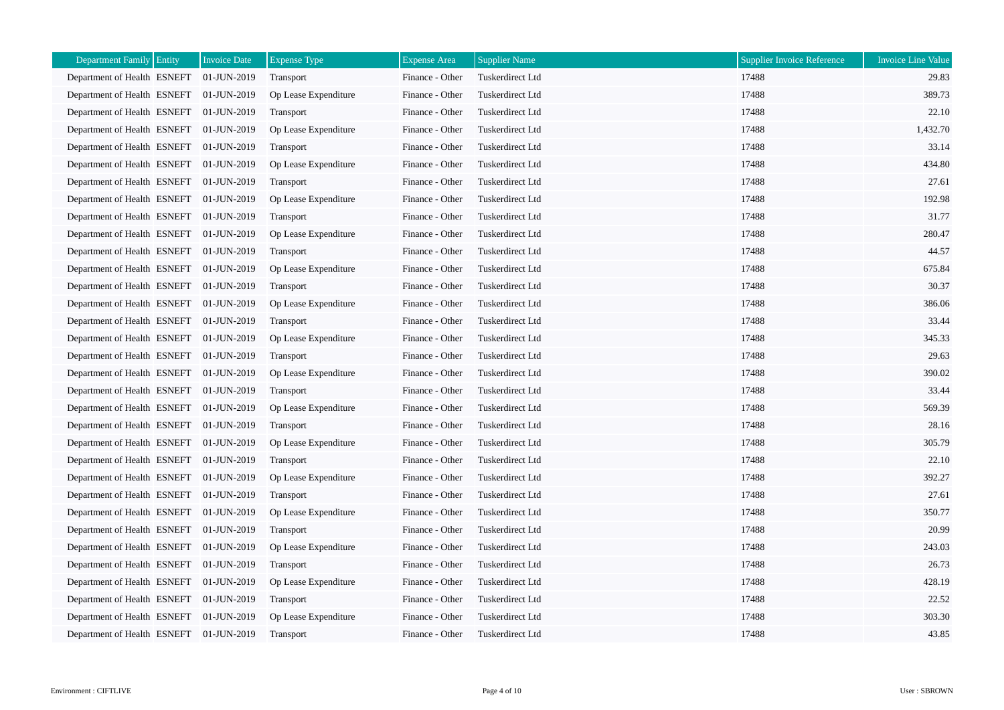| <b>Department Family</b><br>Entity      | <b>Invoice Date</b> | <b>Expense Type</b>  | <b>Expense Area</b> | <b>Supplier Name</b> | <b>Supplier Invoice Reference</b> | <b>Invoice Line Value</b> |
|-----------------------------------------|---------------------|----------------------|---------------------|----------------------|-----------------------------------|---------------------------|
| Department of Health ESNEFT             | 01-JUN-2019         | Transport            | Finance - Other     | Tuskerdirect Ltd     | 17488                             | 29.83                     |
| Department of Health ESNEFT             | 01-JUN-2019         | Op Lease Expenditure | Finance - Other     | Tuskerdirect Ltd     | 17488                             | 389.73                    |
| Department of Health ESNEFT             | 01-JUN-2019         | Transport            | Finance - Other     | Tuskerdirect Ltd     | 17488                             | 22.10                     |
| Department of Health ESNEFT 01-JUN-2019 |                     | Op Lease Expenditure | Finance - Other     | Tuskerdirect Ltd     | 17488                             | 1,432.70                  |
| Department of Health ESNEFT             | 01-JUN-2019         | Transport            | Finance - Other     | Tuskerdirect Ltd     | 17488                             | 33.14                     |
| Department of Health ESNEFT 01-JUN-2019 |                     | Op Lease Expenditure | Finance - Other     | Tuskerdirect Ltd     | 17488                             | 434.80                    |
| Department of Health ESNEFT             | 01-JUN-2019         | Transport            | Finance - Other     | Tuskerdirect Ltd     | 17488                             | 27.61                     |
| Department of Health ESNEFT             | 01-JUN-2019         | Op Lease Expenditure | Finance - Other     | Tuskerdirect Ltd     | 17488                             | 192.98                    |
| Department of Health ESNEFT 01-JUN-2019 |                     | Transport            | Finance - Other     | Tuskerdirect Ltd     | 17488                             | 31.77                     |
| Department of Health ESNEFT 01-JUN-2019 |                     | Op Lease Expenditure | Finance - Other     | Tuskerdirect Ltd     | 17488                             | 280.47                    |
| Department of Health ESNEFT 01-JUN-2019 |                     | Transport            | Finance - Other     | Tuskerdirect Ltd     | 17488                             | 44.57                     |
| Department of Health ESNEFT             | 01-JUN-2019         | Op Lease Expenditure | Finance - Other     | Tuskerdirect Ltd     | 17488                             | 675.84                    |
| Department of Health ESNEFT             | 01-JUN-2019         | Transport            | Finance - Other     | Tuskerdirect Ltd     | 17488                             | 30.37                     |
| Department of Health ESNEFT             | 01-JUN-2019         | Op Lease Expenditure | Finance - Other     | Tuskerdirect Ltd     | 17488                             | 386.06                    |
| Department of Health ESNEFT             | 01-JUN-2019         | Transport            | Finance - Other     | Tuskerdirect Ltd     | 17488                             | 33.44                     |
| Department of Health ESNEFT 01-JUN-2019 |                     | Op Lease Expenditure | Finance - Other     | Tuskerdirect Ltd     | 17488                             | 345.33                    |
| Department of Health ESNEFT             | 01-JUN-2019         | Transport            | Finance - Other     | Tuskerdirect Ltd     | 17488                             | 29.63                     |
| Department of Health ESNEFT             | 01-JUN-2019         | Op Lease Expenditure | Finance - Other     | Tuskerdirect Ltd     | 17488                             | 390.02                    |
| Department of Health ESNEFT             | $01$ -JUN-2019      | Transport            | Finance - Other     | Tuskerdirect Ltd     | 17488                             | 33.44                     |
| Department of Health ESNEFT             | 01-JUN-2019         | Op Lease Expenditure | Finance - Other     | Tuskerdirect Ltd     | 17488                             | 569.39                    |
| Department of Health ESNEFT             | 01-JUN-2019         | Transport            | Finance - Other     | Tuskerdirect Ltd     | 17488                             | 28.16                     |
| Department of Health ESNEFT             | 01-JUN-2019         | Op Lease Expenditure | Finance - Other     | Tuskerdirect Ltd     | 17488                             | 305.79                    |
| Department of Health ESNEFT             | 01-JUN-2019         | Transport            | Finance - Other     | Tuskerdirect Ltd     | 17488                             | 22.10                     |
| Department of Health ESNEFT 01-JUN-2019 |                     | Op Lease Expenditure | Finance - Other     | Tuskerdirect Ltd     | 17488                             | 392.27                    |
| Department of Health ESNEFT             | 01-JUN-2019         | Transport            | Finance - Other     | Tuskerdirect Ltd     | 17488                             | 27.61                     |
| Department of Health ESNEFT             | 01-JUN-2019         | Op Lease Expenditure | Finance - Other     | Tuskerdirect Ltd     | 17488                             | 350.77                    |
| Department of Health ESNEFT             | 01-JUN-2019         | Transport            | Finance - Other     | Tuskerdirect Ltd     | 17488                             | 20.99                     |
| Department of Health ESNEFT             | 01-JUN-2019         | Op Lease Expenditure | Finance - Other     | Tuskerdirect Ltd     | 17488                             | 243.03                    |
| Department of Health ESNEFT 01-JUN-2019 |                     | Transport            | Finance - Other     | Tuskerdirect Ltd     | 17488                             | 26.73                     |
| Department of Health ESNEFT             | 01-JUN-2019         | Op Lease Expenditure | Finance - Other     | Tuskerdirect Ltd     | 17488                             | 428.19                    |
| Department of Health ESNEFT             | 01-JUN-2019         | Transport            | Finance - Other     | Tuskerdirect Ltd     | 17488                             | 22.52                     |
| Department of Health ESNEFT             | 01-JUN-2019         | Op Lease Expenditure | Finance - Other     | Tuskerdirect Ltd     | 17488                             | 303.30                    |
| Department of Health ESNEFT 01-JUN-2019 |                     | Transport            | Finance - Other     | Tuskerdirect Ltd     | 17488                             | 43.85                     |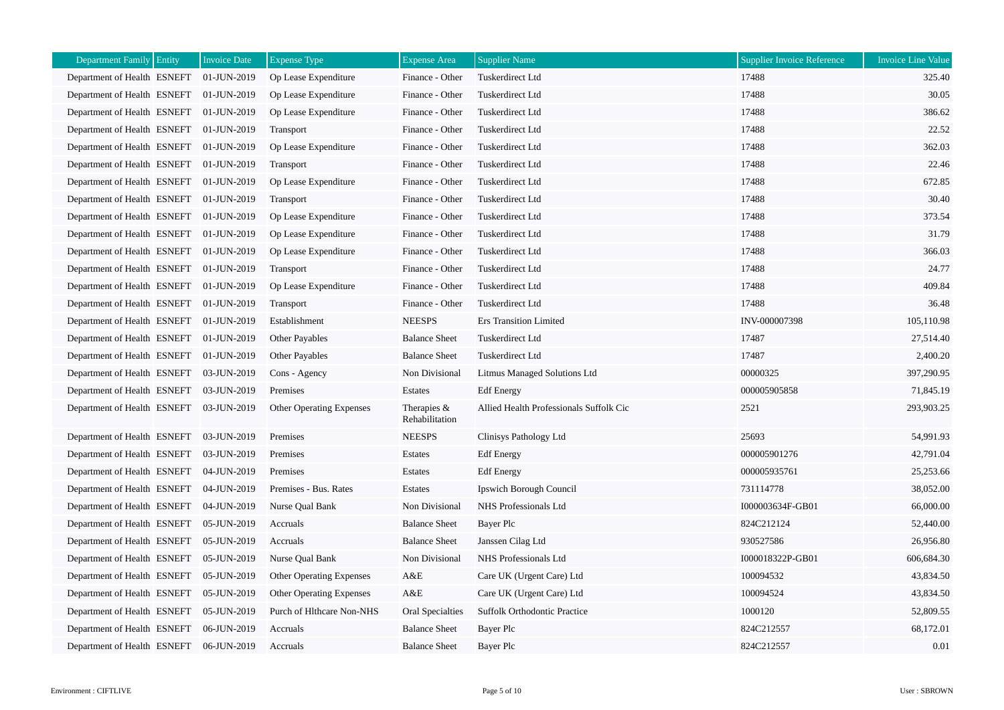| Department Family Entity                | <b>Invoice Date</b> | <b>Expense Type</b>             | <b>Expense Area</b>           | <b>Supplier Name</b>                    | <b>Supplier Invoice Reference</b> | <b>Invoice Line Value</b> |
|-----------------------------------------|---------------------|---------------------------------|-------------------------------|-----------------------------------------|-----------------------------------|---------------------------|
| Department of Health ESNEFT             | 01-JUN-2019         | Op Lease Expenditure            | Finance - Other               | Tuskerdirect Ltd                        | 17488                             | 325.40                    |
| Department of Health ESNEFT             | 01-JUN-2019         | Op Lease Expenditure            | Finance - Other               | Tuskerdirect Ltd                        | 17488                             | 30.05                     |
| Department of Health ESNEFT             | 01-JUN-2019         | Op Lease Expenditure            | Finance - Other               | Tuskerdirect Ltd                        | 17488                             | 386.62                    |
| Department of Health ESNEFT             | 01-JUN-2019         | Transport                       | Finance - Other               | Tuskerdirect Ltd                        | 17488                             | 22.52                     |
| Department of Health ESNEFT 01-JUN-2019 |                     | Op Lease Expenditure            | Finance - Other               | Tuskerdirect Ltd                        | 17488                             | 362.03                    |
| Department of Health ESNEFT             | $01$ -JUN-2019      | Transport                       | Finance - Other               | Tuskerdirect Ltd                        | 17488                             | 22.46                     |
| Department of Health ESNEFT             | 01-JUN-2019         | Op Lease Expenditure            | Finance - Other               | Tuskerdirect Ltd                        | 17488                             | 672.85                    |
| Department of Health ESNEFT 01-JUN-2019 |                     | Transport                       | Finance - Other               | Tuskerdirect Ltd                        | 17488                             | 30.40                     |
| Department of Health ESNEFT             | 01-JUN-2019         | Op Lease Expenditure            | Finance - Other               | Tuskerdirect Ltd                        | 17488                             | 373.54                    |
| Department of Health ESNEFT             | 01-JUN-2019         | Op Lease Expenditure            | Finance - Other               | Tuskerdirect Ltd                        | 17488                             | 31.79                     |
| Department of Health ESNEFT 01-JUN-2019 |                     | Op Lease Expenditure            | Finance - Other               | Tuskerdirect Ltd                        | 17488                             | 366.03                    |
| Department of Health ESNEFT             | 01-JUN-2019         | Transport                       | Finance - Other               | Tuskerdirect Ltd                        | 17488                             | 24.77                     |
| Department of Health ESNEFT             | 01-JUN-2019         | Op Lease Expenditure            | Finance - Other               | Tuskerdirect Ltd                        | 17488                             | 409.84                    |
| Department of Health ESNEFT 01-JUN-2019 |                     | Transport                       | Finance - Other               | Tuskerdirect Ltd                        | 17488                             | 36.48                     |
| Department of Health ESNEFT             | 01-JUN-2019         | Establishment                   | <b>NEESPS</b>                 | <b>Ers Transition Limited</b>           | INV-000007398                     | 105,110.98                |
| Department of Health ESNEFT             | 01-JUN-2019         | Other Payables                  | <b>Balance Sheet</b>          | Tuskerdirect Ltd                        | 17487                             | 27,514.40                 |
| Department of Health ESNEFT 01-JUN-2019 |                     | <b>Other Payables</b>           | <b>Balance Sheet</b>          | Tuskerdirect Ltd                        | 17487                             | 2,400.20                  |
| Department of Health ESNEFT             | 03-JUN-2019         | Cons - Agency                   | Non Divisional                | Litmus Managed Solutions Ltd            | 00000325                          | 397,290.95                |
| Department of Health ESNEFT             | 03-JUN-2019         | Premises                        | Estates                       | <b>Edf</b> Energy                       | 000005905858                      | 71,845.19                 |
| Department of Health ESNEFT             | 03-JUN-2019         | <b>Other Operating Expenses</b> | Therapies &<br>Rehabilitation | Allied Health Professionals Suffolk Cic | 2521                              | 293,903.25                |
| Department of Health ESNEFT             | 03-JUN-2019         | Premises                        | <b>NEESPS</b>                 | Clinisys Pathology Ltd                  | 25693                             | 54,991.93                 |
| Department of Health ESNEFT             | 03-JUN-2019         | Premises                        | Estates                       | <b>Edf</b> Energy                       | 000005901276                      | 42,791.04                 |
| Department of Health ESNEFT             | 04-JUN-2019         | Premises                        | Estates                       | <b>Edf</b> Energy                       | 000005935761                      | 25,253.66                 |
| Department of Health ESNEFT 04-JUN-2019 |                     | Premises - Bus. Rates           | Estates                       | Ipswich Borough Council                 | 731114778                         | 38,052.00                 |
| Department of Health ESNEFT             | 04-JUN-2019         | Nurse Qual Bank                 | Non Divisional                | NHS Professionals Ltd                   | I000003634F-GB01                  | 66,000.00                 |
| Department of Health ESNEFT             | 05-JUN-2019         | Accruals                        | <b>Balance Sheet</b>          | Bayer Plc                               | 824C212124                        | 52,440.00                 |
| Department of Health ESNEFT             | 05-JUN-2019         | Accruals                        | <b>Balance Sheet</b>          | Janssen Cilag Ltd                       | 930527586                         | 26,956.80                 |
| Department of Health ESNEFT             | 05-JUN-2019         | Nurse Qual Bank                 | Non Divisional                | NHS Professionals Ltd                   | I000018322P-GB01                  | 606,684.30                |
| Department of Health ESNEFT             | 05-JUN-2019         | Other Operating Expenses        | A&E                           | Care UK (Urgent Care) Ltd               | 100094532                         | 43,834.50                 |
| Department of Health ESNEFT             | 05-JUN-2019         | Other Operating Expenses        | A&E                           | Care UK (Urgent Care) Ltd               | 100094524                         | 43,834.50                 |
| Department of Health ESNEFT             | 05-JUN-2019         | Purch of Hlthcare Non-NHS       | Oral Specialties              | <b>Suffolk Orthodontic Practice</b>     | 1000120                           | 52,809.55                 |
| Department of Health ESNEFT             | 06-JUN-2019         | Accruals                        | <b>Balance Sheet</b>          | Bayer Plc                               | 824C212557                        | 68,172.01                 |
| Department of Health ESNEFT             | 06-JUN-2019         | Accruals                        | <b>Balance Sheet</b>          | Bayer Plc                               | 824C212557                        | 0.01                      |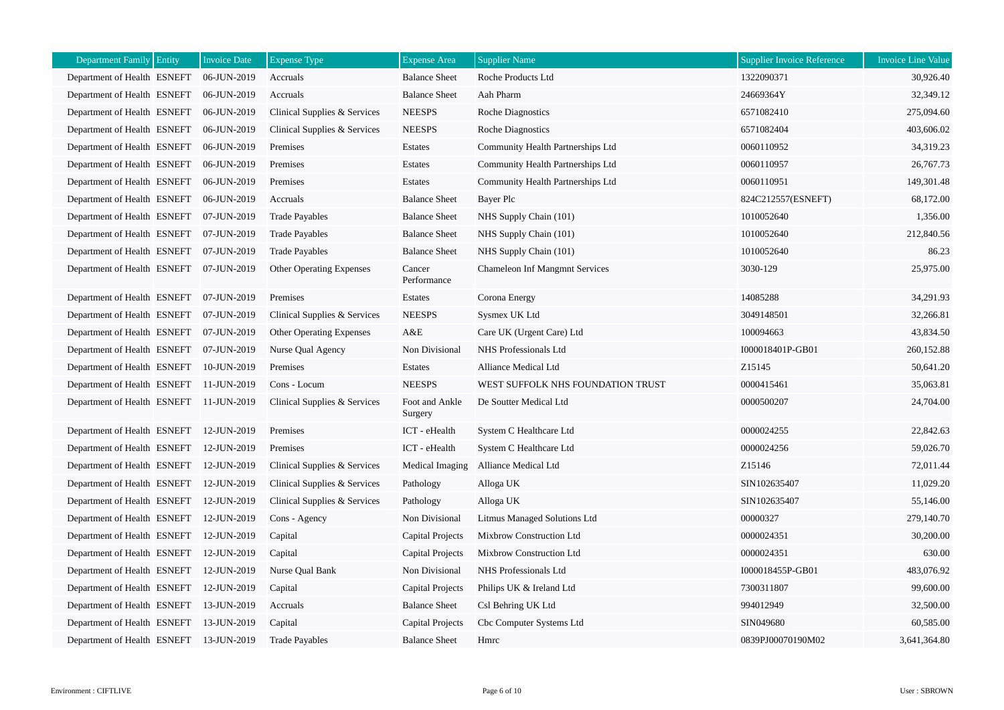| Entity<br><b>Department Family</b>      | <b>Invoice Date</b> | <b>Expense Type</b>          | <b>Expense Area</b>       | <b>Supplier Name</b>                  | <b>Supplier Invoice Reference</b> | <b>Invoice Line Value</b> |
|-----------------------------------------|---------------------|------------------------------|---------------------------|---------------------------------------|-----------------------------------|---------------------------|
| Department of Health ESNEFT             | 06-JUN-2019         | Accruals                     | <b>Balance Sheet</b>      | Roche Products Ltd                    | 1322090371                        | 30,926.40                 |
| Department of Health ESNEFT             | 06-JUN-2019         | Accruals                     | <b>Balance Sheet</b>      | Aah Pharm                             | 24669364Y                         | 32,349.12                 |
| Department of Health ESNEFT             | 06-JUN-2019         | Clinical Supplies & Services | <b>NEESPS</b>             | <b>Roche Diagnostics</b>              | 6571082410                        | 275,094.60                |
| Department of Health ESNEFT             | 06-JUN-2019         | Clinical Supplies & Services | <b>NEESPS</b>             | <b>Roche Diagnostics</b>              | 6571082404                        | 403,606.02                |
| Department of Health ESNEFT             | 06-JUN-2019         | Premises                     | Estates                   | Community Health Partnerships Ltd     | 0060110952                        | 34,319.23                 |
| Department of Health ESNEFT             | 06-JUN-2019         | Premises                     | Estates                   | Community Health Partnerships Ltd     | 0060110957                        | 26,767.73                 |
| Department of Health ESNEFT             | 06-JUN-2019         | Premises                     | Estates                   | Community Health Partnerships Ltd     | 0060110951                        | 149,301.48                |
| Department of Health ESNEFT             | 06-JUN-2019         | Accruals                     | <b>Balance Sheet</b>      | <b>Bayer Plc</b>                      | 824C212557(ESNEFT)                | 68,172.00                 |
| Department of Health ESNEFT             | 07-JUN-2019         | <b>Trade Payables</b>        | <b>Balance Sheet</b>      | NHS Supply Chain (101)                | 1010052640                        | 1,356.00                  |
| Department of Health ESNEFT             | 07-JUN-2019         | <b>Trade Payables</b>        | <b>Balance Sheet</b>      | NHS Supply Chain (101)                | 1010052640                        | 212,840.56                |
| Department of Health ESNEFT             | 07-JUN-2019         | <b>Trade Payables</b>        | <b>Balance Sheet</b>      | NHS Supply Chain (101)                | 1010052640                        | 86.23                     |
| Department of Health ESNEFT 07-JUN-2019 |                     | Other Operating Expenses     | Cancer<br>Performance     | <b>Chameleon Inf Mangmnt Services</b> | 3030-129                          | 25,975.00                 |
| Department of Health ESNEFT 07-JUN-2019 |                     | Premises                     | Estates                   | Corona Energy                         | 14085288                          | 34,291.93                 |
| Department of Health ESNEFT             | 07-JUN-2019         | Clinical Supplies & Services | <b>NEESPS</b>             | Sysmex UK Ltd                         | 3049148501                        | 32,266.81                 |
| Department of Health ESNEFT 07-JUN-2019 |                     | Other Operating Expenses     | A&E                       | Care UK (Urgent Care) Ltd             | 100094663                         | 43,834.50                 |
| Department of Health ESNEFT             | 07-JUN-2019         | Nurse Qual Agency            | Non Divisional            | NHS Professionals Ltd                 | I000018401P-GB01                  | 260,152.88                |
| Department of Health ESNEFT             | 10-JUN-2019         | Premises                     | Estates                   | Alliance Medical Ltd                  | Z15145                            | 50,641.20                 |
| Department of Health ESNEFT             | 11-JUN-2019         | Cons - Locum                 | <b>NEESPS</b>             | WEST SUFFOLK NHS FOUNDATION TRUST     | 0000415461                        | 35,063.81                 |
| Department of Health ESNEFT             | 11-JUN-2019         | Clinical Supplies & Services | Foot and Ankle<br>Surgery | De Soutter Medical Ltd                | 0000500207                        | 24,704.00                 |
| Department of Health ESNEFT             | 12-JUN-2019         | Premises                     | ICT - eHealth             | System C Healthcare Ltd               | 0000024255                        | 22,842.63                 |
| Department of Health ESNEFT             | 12-JUN-2019         | Premises                     | ICT - eHealth             | System C Healthcare Ltd               | 0000024256                        | 59,026.70                 |
| Department of Health ESNEFT             | 12-JUN-2019         | Clinical Supplies & Services | Medical Imaging           | <b>Alliance Medical Ltd</b>           | Z <sub>15146</sub>                | 72,011.44                 |
| Department of Health ESNEFT             | 12-JUN-2019         | Clinical Supplies & Services | Pathology                 | Alloga UK                             | SIN102635407                      | 11,029.20                 |
| Department of Health ESNEFT             | 12-JUN-2019         | Clinical Supplies & Services | Pathology                 | Alloga UK                             | SIN102635407                      | 55,146.00                 |
| Department of Health ESNEFT             | 12-JUN-2019         | Cons - Agency                | Non Divisional            | Litmus Managed Solutions Ltd          | 00000327                          | 279,140.70                |
| Department of Health ESNEFT             | 12-JUN-2019         | Capital                      | Capital Projects          | Mixbrow Construction Ltd              | 0000024351                        | 30,200.00                 |
| Department of Health ESNEFT             | 12-JUN-2019         | Capital                      | Capital Projects          | Mixbrow Construction Ltd              | 0000024351                        | 630.00                    |
| Department of Health ESNEFT             | 12-JUN-2019         | Nurse Qual Bank              | Non Divisional            | NHS Professionals Ltd                 | I000018455P-GB01                  | 483,076.92                |
| Department of Health ESNEFT             | 12-JUN-2019         | Capital                      | <b>Capital Projects</b>   | Philips UK & Ireland Ltd              | 7300311807                        | 99,600.00                 |
| Department of Health ESNEFT             | 13-JUN-2019         | Accruals                     | <b>Balance Sheet</b>      | Csl Behring UK Ltd                    | 994012949                         | 32,500.00                 |
| Department of Health ESNEFT             | 13-JUN-2019         | Capital                      | Capital Projects          | Cbc Computer Systems Ltd              | SIN049680                         | 60,585.00                 |
| Department of Health ESNEFT             | 13-JUN-2019         | <b>Trade Payables</b>        | <b>Balance Sheet</b>      | Hmrc                                  | 0839PJ00070190M02                 | 3,641,364.80              |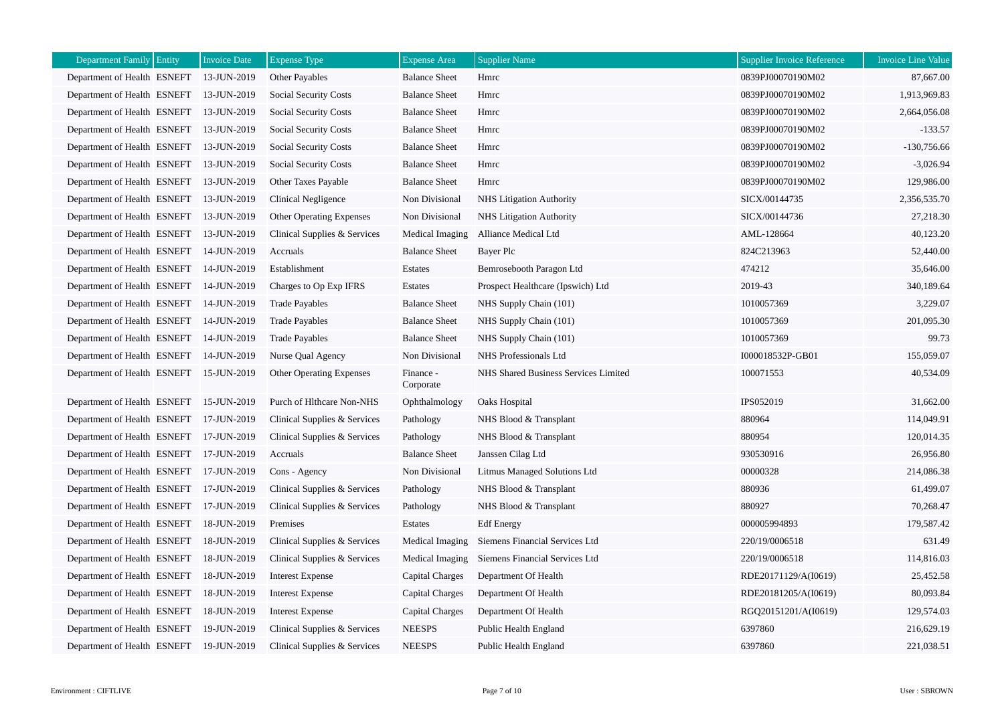| Department Family Entity    | <b>Invoice Date</b> | <b>Expense Type</b>             | <b>Expense Area</b>    | <b>Supplier Name</b>                           | <b>Supplier Invoice Reference</b> | <b>Invoice Line Value</b> |
|-----------------------------|---------------------|---------------------------------|------------------------|------------------------------------------------|-----------------------------------|---------------------------|
| Department of Health ESNEFT | 13-JUN-2019         | Other Payables                  | <b>Balance Sheet</b>   | Hmrc                                           | 0839PJ00070190M02                 | 87,667.00                 |
| Department of Health ESNEFT | 13-JUN-2019         | <b>Social Security Costs</b>    | <b>Balance Sheet</b>   | Hmrc                                           | 0839PJ00070190M02                 | 1,913,969.83              |
| Department of Health ESNEFT | 13-JUN-2019         | Social Security Costs           | <b>Balance Sheet</b>   | Hmrc                                           | 0839PJ00070190M02                 | 2,664,056.08              |
| Department of Health ESNEFT | 13-JUN-2019         | <b>Social Security Costs</b>    | <b>Balance Sheet</b>   | Hmrc                                           | 0839PJ00070190M02                 | $-133.57$                 |
| Department of Health ESNEFT | 13-JUN-2019         | <b>Social Security Costs</b>    | <b>Balance Sheet</b>   | Hmrc                                           | 0839PJ00070190M02                 | $-130,756.66$             |
| Department of Health ESNEFT | 13-JUN-2019         | <b>Social Security Costs</b>    | <b>Balance Sheet</b>   | Hmrc                                           | 0839PJ00070190M02                 | $-3,026.94$               |
| Department of Health ESNEFT | 13-JUN-2019         | Other Taxes Payable             | <b>Balance Sheet</b>   | Hmrc                                           | 0839PJ00070190M02                 | 129,986.00                |
| Department of Health ESNEFT | 13-JUN-2019         | Clinical Negligence             | Non Divisional         | NHS Litigation Authority                       | SICX/00144735                     | 2,356,535.70              |
| Department of Health ESNEFT | 13-JUN-2019         | <b>Other Operating Expenses</b> | Non Divisional         | <b>NHS</b> Litigation Authority                | SICX/00144736                     | 27,218.30                 |
| Department of Health ESNEFT | 13-JUN-2019         | Clinical Supplies & Services    | Medical Imaging        | Alliance Medical Ltd                           | AML-128664                        | 40,123.20                 |
| Department of Health ESNEFT | 14-JUN-2019         | Accruals                        | <b>Balance Sheet</b>   | Bayer Plc                                      | 824C213963                        | 52,440.00                 |
| Department of Health ESNEFT | 14-JUN-2019         | Establishment                   | Estates                | Bemrosebooth Paragon Ltd                       | 474212                            | 35,646.00                 |
| Department of Health ESNEFT | 14-JUN-2019         | Charges to Op Exp IFRS          | Estates                | Prospect Healthcare (Ipswich) Ltd              | 2019-43                           | 340,189.64                |
| Department of Health ESNEFT | 14-JUN-2019         | <b>Trade Payables</b>           | <b>Balance Sheet</b>   | NHS Supply Chain (101)                         | 1010057369                        | 3,229.07                  |
| Department of Health ESNEFT | 14-JUN-2019         | <b>Trade Payables</b>           | <b>Balance Sheet</b>   | NHS Supply Chain (101)                         | 1010057369                        | 201,095.30                |
| Department of Health ESNEFT | 14-JUN-2019         | <b>Trade Payables</b>           | <b>Balance Sheet</b>   | NHS Supply Chain (101)                         | 1010057369                        | 99.73                     |
| Department of Health ESNEFT | 14-JUN-2019         | Nurse Qual Agency               | Non Divisional         | NHS Professionals Ltd                          | I000018532P-GB01                  | 155,059.07                |
| Department of Health ESNEFT | 15-JUN-2019         | <b>Other Operating Expenses</b> | Finance -<br>Corporate | NHS Shared Business Services Limited           | 100071553                         | 40,534.09                 |
| Department of Health ESNEFT | 15-JUN-2019         | Purch of Hlthcare Non-NHS       | Ophthalmology          | Oaks Hospital                                  | IPS052019                         | 31,662.00                 |
| Department of Health ESNEFT | 17-JUN-2019         | Clinical Supplies & Services    | Pathology              | NHS Blood & Transplant                         | 880964                            | 114,049.91                |
| Department of Health ESNEFT | 17-JUN-2019         | Clinical Supplies & Services    | Pathology              | NHS Blood & Transplant                         | 880954                            | 120,014.35                |
| Department of Health ESNEFT | 17-JUN-2019         | Accruals                        | <b>Balance Sheet</b>   | Janssen Cilag Ltd                              | 930530916                         | 26,956.80                 |
| Department of Health ESNEFT | 17-JUN-2019         | Cons - Agency                   | Non Divisional         | Litmus Managed Solutions Ltd                   | 00000328                          | 214,086.38                |
| Department of Health ESNEFT | 17-JUN-2019         | Clinical Supplies & Services    | Pathology              | NHS Blood & Transplant                         | 880936                            | 61,499.07                 |
| Department of Health ESNEFT | 17-JUN-2019         | Clinical Supplies & Services    | Pathology              | NHS Blood & Transplant                         | 880927                            | 70,268.47                 |
| Department of Health ESNEFT | 18-JUN-2019         | Premises                        | Estates                | <b>Edf</b> Energy                              | 000005994893                      | 179,587.42                |
| Department of Health ESNEFT | 18-JUN-2019         | Clinical Supplies & Services    | Medical Imaging        | Siemens Financial Services Ltd                 | 220/19/0006518                    | 631.49                    |
| Department of Health ESNEFT | 18-JUN-2019         | Clinical Supplies & Services    |                        | Medical Imaging Siemens Financial Services Ltd | 220/19/0006518                    | 114,816.03                |
| Department of Health ESNEFT | 18-JUN-2019         | <b>Interest Expense</b>         | Capital Charges        | Department Of Health                           | RDE20171129/A(I0619)              | 25,452.58                 |
| Department of Health ESNEFT | 18-JUN-2019         | <b>Interest Expense</b>         | Capital Charges        | Department Of Health                           | RDE20181205/A(I0619)              | 80,093.84                 |
| Department of Health ESNEFT | 18-JUN-2019         | <b>Interest Expense</b>         | Capital Charges        | Department Of Health                           | RGQ20151201/A(I0619)              | 129,574.03                |
| Department of Health ESNEFT | 19-JUN-2019         | Clinical Supplies & Services    | <b>NEESPS</b>          | Public Health England                          | 6397860                           | 216,629.19                |
| Department of Health ESNEFT | 19-JUN-2019         | Clinical Supplies & Services    | <b>NEESPS</b>          | Public Health England                          | 6397860                           | 221,038.51                |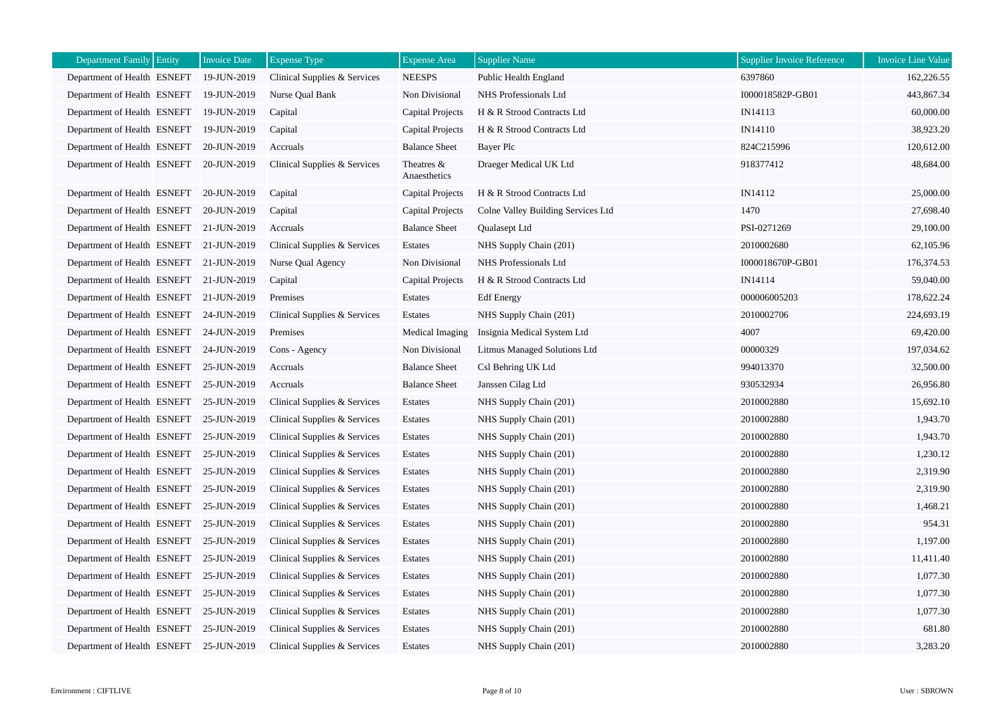| Department Family Entity                | <b>Invoice Date</b> | <b>Expense Type</b>          | <b>Expense Area</b>        | <b>Supplier Name</b>               | <b>Supplier Invoice Reference</b> | <b>Invoice Line Value</b> |
|-----------------------------------------|---------------------|------------------------------|----------------------------|------------------------------------|-----------------------------------|---------------------------|
| Department of Health ESNEFT             | 19-JUN-2019         | Clinical Supplies & Services | <b>NEESPS</b>              | Public Health England              | 6397860                           | 162,226.55                |
| Department of Health ESNEFT             | 19-JUN-2019         | Nurse Qual Bank              | Non Divisional             | NHS Professionals Ltd              | I000018582P-GB01                  | 443,867.34                |
| Department of Health ESNEFT             | 19-JUN-2019         | Capital                      | Capital Projects           | H & R Strood Contracts Ltd         | IN14113                           | 60,000.00                 |
| Department of Health ESNEFT             | 19-JUN-2019         | Capital                      | Capital Projects           | H & R Strood Contracts Ltd         | IN14110                           | 38,923.20                 |
| Department of Health ESNEFT             | 20-JUN-2019         | Accruals                     | <b>Balance Sheet</b>       | Bayer Plc                          | 824C215996                        | 120,612.00                |
| Department of Health ESNEFT 20-JUN-2019 |                     | Clinical Supplies & Services | Theatres &<br>Anaesthetics | Draeger Medical UK Ltd             | 918377412                         | 48,684.00                 |
| Department of Health ESNEFT             | 20-JUN-2019         | Capital                      | Capital Projects           | H & R Strood Contracts Ltd         | IN14112                           | 25,000.00                 |
| Department of Health ESNEFT             | 20-JUN-2019         | Capital                      | Capital Projects           | Colne Valley Building Services Ltd | 1470                              | 27,698.40                 |
| Department of Health ESNEFT 21-JUN-2019 |                     | Accruals                     | <b>Balance Sheet</b>       | Qualasept Ltd                      | PSI-0271269                       | 29,100.00                 |
| Department of Health ESNEFT 21-JUN-2019 |                     | Clinical Supplies & Services | Estates                    | NHS Supply Chain (201)             | 2010002680                        | 62,105.96                 |
| Department of Health ESNEFT 21-JUN-2019 |                     | Nurse Qual Agency            | Non Divisional             | NHS Professionals Ltd              | I000018670P-GB01                  | 176,374.53                |
| Department of Health ESNEFT 21-JUN-2019 |                     | Capital                      | Capital Projects           | H & R Strood Contracts Ltd         | IN14114                           | 59,040.00                 |
| Department of Health ESNEFT 21-JUN-2019 |                     | Premises                     | Estates                    | <b>Edf</b> Energy                  | 000006005203                      | 178,622.24                |
| Department of Health ESNEFT             | 24-JUN-2019         | Clinical Supplies & Services | Estates                    | NHS Supply Chain (201)             | 2010002706                        | 224,693.19                |
| Department of Health ESNEFT 24-JUN-2019 |                     | Premises                     | Medical Imaging            | Insignia Medical System Ltd        | 4007                              | 69,420.00                 |
| Department of Health ESNEFT 24-JUN-2019 |                     | Cons - Agency                | Non Divisional             | Litmus Managed Solutions Ltd       | 00000329                          | 197,034.62                |
| Department of Health ESNEFT             | 25-JUN-2019         | Accruals                     | <b>Balance Sheet</b>       | Csl Behring UK Ltd                 | 994013370                         | 32,500.00                 |
| Department of Health ESNEFT             | 25-JUN-2019         | Accruals                     | <b>Balance Sheet</b>       | Janssen Cilag Ltd                  | 930532934                         | 26,956.80                 |
| Department of Health ESNEFT             | 25-JUN-2019         | Clinical Supplies & Services | Estates                    | NHS Supply Chain (201)             | 2010002880                        | 15,692.10                 |
| Department of Health ESNEFT             | 25-JUN-2019         | Clinical Supplies & Services | Estates                    | NHS Supply Chain (201)             | 2010002880                        | 1,943.70                  |
| Department of Health ESNEFT             | 25-JUN-2019         | Clinical Supplies & Services | Estates                    | NHS Supply Chain (201)             | 2010002880                        | 1,943.70                  |
| Department of Health ESNEFT             | 25-JUN-2019         | Clinical Supplies & Services | Estates                    | NHS Supply Chain (201)             | 2010002880                        | 1,230.12                  |
| Department of Health ESNEFT             | 25-JUN-2019         | Clinical Supplies & Services | Estates                    | NHS Supply Chain (201)             | 2010002880                        | 2,319.90                  |
| Department of Health ESNEFT             | 25-JUN-2019         | Clinical Supplies & Services | Estates                    | NHS Supply Chain (201)             | 2010002880                        | 2,319.90                  |
| Department of Health ESNEFT             | 25-JUN-2019         | Clinical Supplies & Services | Estates                    | NHS Supply Chain (201)             | 2010002880                        | 1,468.21                  |
| Department of Health ESNEFT             | 25-JUN-2019         | Clinical Supplies & Services | Estates                    | NHS Supply Chain (201)             | 2010002880                        | 954.31                    |
| Department of Health ESNEFT             | 25-JUN-2019         | Clinical Supplies & Services | Estates                    | NHS Supply Chain (201)             | 2010002880                        | 1,197.00                  |
| Department of Health ESNEFT             | 25-JUN-2019         | Clinical Supplies & Services | Estates                    | NHS Supply Chain (201)             | 2010002880                        | 11,411.40                 |
| Department of Health ESNEFT             | 25-JUN-2019         | Clinical Supplies & Services | Estates                    | NHS Supply Chain (201)             | 2010002880                        | 1,077.30                  |
| Department of Health ESNEFT             | 25-JUN-2019         | Clinical Supplies & Services | Estates                    | NHS Supply Chain (201)             | 2010002880                        | 1,077.30                  |
| Department of Health ESNEFT             | 25-JUN-2019         | Clinical Supplies & Services | Estates                    | NHS Supply Chain (201)             | 2010002880                        | 1,077.30                  |
| Department of Health ESNEFT             | 25-JUN-2019         | Clinical Supplies & Services | Estates                    | NHS Supply Chain (201)             | 2010002880                        | 681.80                    |
| Department of Health ESNEFT             | 25-JUN-2019         | Clinical Supplies & Services | Estates                    | NHS Supply Chain (201)             | 2010002880                        | 3,283.20                  |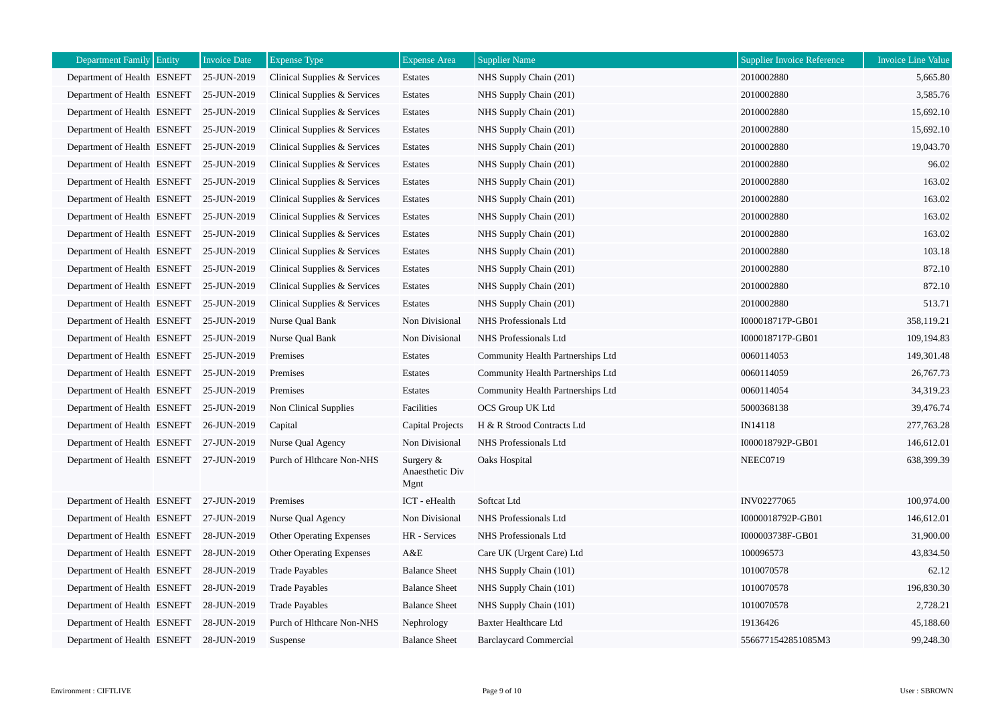| Department Family Entity                | <b>Invoice Date</b> | <b>Expense Type</b>             | <b>Expense Area</b>                  | <b>Supplier Name</b>              | Supplier Invoice Reference | <b>Invoice Line Value</b> |
|-----------------------------------------|---------------------|---------------------------------|--------------------------------------|-----------------------------------|----------------------------|---------------------------|
| Department of Health ESNEFT             | 25-JUN-2019         | Clinical Supplies & Services    | Estates                              | NHS Supply Chain (201)            | 2010002880                 | 5,665.80                  |
| Department of Health ESNEFT             | 25-JUN-2019         | Clinical Supplies & Services    | Estates                              | NHS Supply Chain (201)            | 2010002880                 | 3,585.76                  |
| Department of Health ESNEFT             | 25-JUN-2019         | Clinical Supplies & Services    | Estates                              | NHS Supply Chain (201)            | 2010002880                 | 15,692.10                 |
| Department of Health ESNEFT             | 25-JUN-2019         | Clinical Supplies & Services    | Estates                              | NHS Supply Chain (201)            | 2010002880                 | 15,692.10                 |
| Department of Health ESNEFT             | 25-JUN-2019         | Clinical Supplies & Services    | Estates                              | NHS Supply Chain (201)            | 2010002880                 | 19,043.70                 |
| Department of Health ESNEFT             | 25-JUN-2019         | Clinical Supplies & Services    | Estates                              | NHS Supply Chain (201)            | 2010002880                 | 96.02                     |
| Department of Health ESNEFT             | 25-JUN-2019         | Clinical Supplies & Services    | Estates                              | NHS Supply Chain (201)            | 2010002880                 | 163.02                    |
| Department of Health ESNEFT             | 25-JUN-2019         | Clinical Supplies & Services    | Estates                              | NHS Supply Chain (201)            | 2010002880                 | 163.02                    |
| Department of Health ESNEFT             | 25-JUN-2019         | Clinical Supplies & Services    | Estates                              | NHS Supply Chain (201)            | 2010002880                 | 163.02                    |
| Department of Health ESNEFT             | 25-JUN-2019         | Clinical Supplies & Services    | Estates                              | NHS Supply Chain (201)            | 2010002880                 | 163.02                    |
| Department of Health ESNEFT             | 25-JUN-2019         | Clinical Supplies & Services    | Estates                              | NHS Supply Chain (201)            | 2010002880                 | 103.18                    |
| Department of Health ESNEFT             | 25-JUN-2019         | Clinical Supplies & Services    | Estates                              | NHS Supply Chain (201)            | 2010002880                 | 872.10                    |
| Department of Health ESNEFT             | 25-JUN-2019         | Clinical Supplies & Services    | Estates                              | NHS Supply Chain (201)            | 2010002880                 | 872.10                    |
| Department of Health ESNEFT             | 25-JUN-2019         | Clinical Supplies & Services    | Estates                              | NHS Supply Chain (201)            | 2010002880                 | 513.71                    |
| Department of Health ESNEFT             | 25-JUN-2019         | Nurse Qual Bank                 | Non Divisional                       | NHS Professionals Ltd             | I000018717P-GB01           | 358,119.21                |
| Department of Health ESNEFT             | 25-JUN-2019         | Nurse Qual Bank                 | Non Divisional                       | NHS Professionals Ltd             | I000018717P-GB01           | 109,194.83                |
| Department of Health ESNEFT             | 25-JUN-2019         | Premises                        | Estates                              | Community Health Partnerships Ltd | 0060114053                 | 149,301.48                |
| Department of Health ESNEFT             | 25-JUN-2019         | Premises                        | Estates                              | Community Health Partnerships Ltd | 0060114059                 | 26,767.73                 |
| Department of Health ESNEFT             | 25-JUN-2019         | Premises                        | Estates                              | Community Health Partnerships Ltd | 0060114054                 | 34,319.23                 |
| Department of Health ESNEFT             | 25-JUN-2019         | Non Clinical Supplies           | Facilities                           | OCS Group UK Ltd                  | 5000368138                 | 39,476.74                 |
| Department of Health ESNEFT             | 26-JUN-2019         | Capital                         | Capital Projects                     | H & R Strood Contracts Ltd        | IN14118                    | 277,763.28                |
| Department of Health ESNEFT             | 27-JUN-2019         | Nurse Qual Agency               | Non Divisional                       | NHS Professionals Ltd             | I000018792P-GB01           | 146,612.01                |
| Department of Health ESNEFT 27-JUN-2019 |                     | Purch of Hlthcare Non-NHS       | Surgery &<br>Anaesthetic Div<br>Mgnt | Oaks Hospital                     | NEEC0719                   | 638,399.39                |
| Department of Health ESNEFT 27-JUN-2019 |                     | Premises                        | ICT - eHealth                        | Softcat Ltd                       | INV02277065                | 100,974.00                |
| Department of Health ESNEFT             | 27-JUN-2019         | Nurse Qual Agency               | Non Divisional                       | NHS Professionals Ltd             | I0000018792P-GB01          | 146,612.01                |
| Department of Health ESNEFT             | 28-JUN-2019         | <b>Other Operating Expenses</b> | HR - Services                        | NHS Professionals Ltd             | I000003738F-GB01           | 31,900.00                 |
| Department of Health ESNEFT             | 28-JUN-2019         | <b>Other Operating Expenses</b> | A&E                                  | Care UK (Urgent Care) Ltd         | 100096573                  | 43,834.50                 |
| Department of Health ESNEFT             | 28-JUN-2019         | <b>Trade Payables</b>           | <b>Balance Sheet</b>                 | NHS Supply Chain (101)            | 1010070578                 | 62.12                     |
| Department of Health ESNEFT             | 28-JUN-2019         | <b>Trade Payables</b>           | <b>Balance Sheet</b>                 | NHS Supply Chain (101)            | 1010070578                 | 196,830.30                |
| Department of Health ESNEFT             | 28-JUN-2019         | <b>Trade Payables</b>           | <b>Balance Sheet</b>                 | NHS Supply Chain (101)            | 1010070578                 | 2,728.21                  |
| Department of Health ESNEFT             | 28-JUN-2019         | Purch of Hlthcare Non-NHS       | Nephrology                           | <b>Baxter Healthcare Ltd</b>      | 19136426                   | 45,188.60                 |
| Department of Health ESNEFT 28-JUN-2019 |                     | Suspense                        | <b>Balance Sheet</b>                 | <b>Barclaycard Commercial</b>     | 5566771542851085M3         | 99,248.30                 |